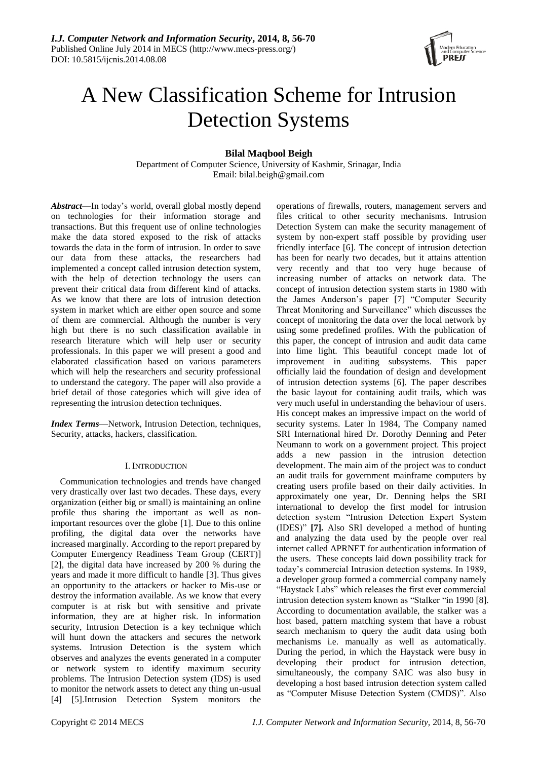

# A New Classification Scheme for Intrusion Detection Systems

# **Bilal Maqbool Beigh**

Department of Computer Science, University of Kashmir, Srinagar, India Email: bilal.beigh@gmail.com

*Abstract*—In today's world, overall global mostly depend on technologies for their information storage and transactions. But this frequent use of online technologies make the data stored exposed to the risk of attacks towards the data in the form of intrusion. In order to save our data from these attacks, the researchers had implemented a concept called intrusion detection system, with the help of detection technology the users can prevent their critical data from different kind of attacks. As we know that there are lots of intrusion detection system in market which are either open source and some of them are commercial. Although the number is very high but there is no such classification available in research literature which will help user or security professionals. In this paper we will present a good and elaborated classification based on various parameters which will help the researchers and security professional to understand the category. The paper will also provide a brief detail of those categories which will give idea of representing the intrusion detection techniques.

*Index Terms*—Network, Intrusion Detection, techniques, Security, attacks, hackers, classification.

## I. INTRODUCTION

Communication technologies and trends have changed very drastically over last two decades. These days, every organization (either big or small) is maintaining an online profile thus sharing the important as well as nonimportant resources over the globe [1]. Due to this online profiling, the digital data over the networks have increased marginally. According to the report prepared by Computer Emergency Readiness Team Group (CERT)] [2], the digital data have increased by 200 % during the years and made it more difficult to handle [3]. Thus gives an opportunity to the attackers or hacker to Mis-use or destroy the information available. As we know that every computer is at risk but with sensitive and private information, they are at higher risk. In information security, Intrusion Detection is a key technique which will hunt down the attackers and secures the network systems. Intrusion Detection is the system which observes and analyzes the events generated in a computer or network system to identify maximum security problems. The Intrusion Detection system (IDS) is used to monitor the network assets to detect any thing un-usual [4] [5].Intrusion Detection System monitors the

operations of firewalls, routers, management servers and files critical to other security mechanisms. Intrusion Detection System can make the security management of system by non-expert staff possible by providing user friendly interface [6]. The concept of intrusion detection has been for nearly two decades, but it attains attention very recently and that too very huge because of increasing number of attacks on network data. The concept of intrusion detection system starts in 1980 with the James Anderson's paper [7] "Computer Security Threat Monitoring and Surveillance" which discusses the concept of monitoring the data over the local network by using some predefined profiles. With the publication of this paper, the concept of intrusion and audit data came into lime light. This beautiful concept made lot of improvement in auditing subsystems. This paper officially laid the foundation of design and development of intrusion detection systems [6]. The paper describes the basic layout for containing audit trails, which was very much useful in understanding the behaviour of users. His concept makes an impressive impact on the world of security systems. Later In 1984, The Company named SRI International hired Dr. Dorothy Denning and Peter Neumann to work on a government project. This project adds a new passion in the intrusion detection development. The main aim of the project was to conduct an audit trails for government mainframe computers by creating users profile based on their daily activities. In approximately one year, Dr. Denning helps the SRI international to develop the first model for intrusion detection system "Intrusion Detection Expert System (IDES)" [7]. Also SRI developed a method of hunting and analyzing the data used by the people over real internet called APRNET for authentication information of the users. These concepts laid down possibility track for today's commercial Intrusion detection systems. In 1989, a developer group formed a commercial company namely ―Haystack Labs‖ which releases the first ever commercial intrusion detection system known as "Stalker "in 1990 [8]. According to documentation available, the stalker was a host based, pattern matching system that have a robust search mechanism to query the audit data using both mechanisms i.e. manually as well as automatically. During the period, in which the Haystack were busy in developing their product for intrusion detection, simultaneously, the company SAIC was also busy in developing a host based intrusion detection system called as "Computer Misuse Detection System (CMDS)". Also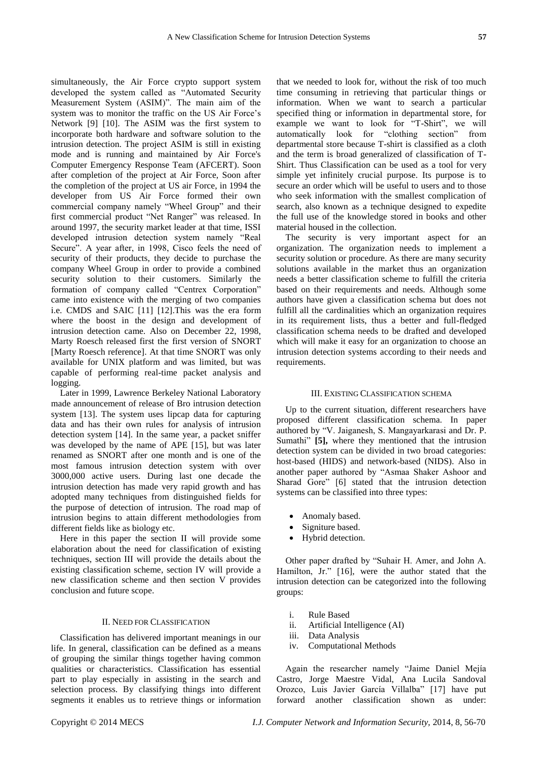simultaneously, the Air Force crypto support system developed the system called as "Automated Security" Measurement System (ASIM)". The main aim of the system was to monitor the traffic on the US Air Force's Network [9] [10]. The ASIM was the first system to incorporate both hardware and software solution to the intrusion detection. The project ASIM is still in existing mode and is running and maintained by Air Force's Computer Emergency Response Team (AFCERT). Soon after completion of the project at Air Force, Soon after the completion of the project at US air Force, in 1994 the developer from US Air Force formed their own commercial company namely "Wheel Group" and their first commercial product "Net Ranger" was released. In around 1997, the security market leader at that time, ISSI developed intrusion detection system namely "Real Secure". A year after, in 1998, Cisco feels the need of security of their products, they decide to purchase the company Wheel Group in order to provide a combined security solution to their customers. Similarly the formation of company called "Centrex Corporation" came into existence with the merging of two companies i.e. CMDS and SAIC [11] [12].This was the era form where the boost in the design and development of intrusion detection came. Also on December 22, 1998, Marty Roesch released first the first version of SNORT [Marty Roesch reference]. At that time SNORT was only available for UNIX platform and was limited, but was capable of performing real-time packet analysis and logging.

Later in 1999, Lawrence Berkeley National Laboratory made announcement of release of Bro intrusion detection system [13]. The system uses lipcap data for capturing data and has their own rules for analysis of intrusion detection system [14]. In the same year, a packet sniffer was developed by the name of APE [15], but was later renamed as SNORT after one month and is one of the most famous intrusion detection system with over 3000,000 active users. During last one decade the intrusion detection has made very rapid growth and has adopted many techniques from distinguished fields for the purpose of detection of intrusion. The road map of intrusion begins to attain different methodologies from different fields like as biology etc.

Here in this paper the section II will provide some elaboration about the need for classification of existing techniques, section III will provide the details about the existing classification scheme, section IV will provide a new classification scheme and then section V provides conclusion and future scope.

# II. NEED FOR CLASSIFICATION

Classification has delivered important meanings in our life. In general, classification can be defined as a means of grouping the similar things together having common qualities or characteristics. Classification has essential part to play especially in assisting in the search and selection process. By classifying things into different segments it enables us to retrieve things or information that we needed to look for, without the risk of too much time consuming in retrieving that particular things or information. When we want to search a particular specified thing or information in departmental store, for example we want to look for "T-Shirt", we will automatically look for "clothing section" from departmental store because T-shirt is classified as a cloth and the term is broad generalized of classification of T-Shirt. Thus Classification can be used as a tool for very simple yet infinitely crucial purpose. Its purpose is to secure an order which will be useful to users and to those who seek information with the smallest complication of search, also known as a technique designed to expedite the full use of the knowledge stored in books and other material housed in the collection.

The security is very important aspect for an organization. The organization needs to implement a security solution or procedure. As there are many security solutions available in the market thus an organization needs a better classification scheme to fulfill the criteria based on their requirements and needs. Although some authors have given a classification schema but does not fulfill all the cardinalities which an organization requires in its requirement lists, thus a better and full-fledged classification schema needs to be drafted and developed which will make it easy for an organization to choose an intrusion detection systems according to their needs and requirements.

#### III. EXISTING CLASSIFICATION SCHEMA

Up to the current situation, different researchers have proposed different classification schema. In paper authored by "V. Jaiganesh, S. Mangayarkarasi and Dr. P. Sumathi" **[5]**, where they mentioned that the intrusion detection system can be divided in two broad categories: host-based (HIDS) and network-based (NIDS). Also in another paper authored by "Asmaa Shaker Ashoor and Sharad Gore" [6] stated that the intrusion detection systems can be classified into three types:

- Anomaly based.
- Signiture based.
- Hybrid detection.

Other paper drafted by "Suhair H. Amer, and John A. Hamilton, Jr." [16], were the author stated that the intrusion detection can be categorized into the following groups:

- i. Rule Based
- ii. Artificial Intelligence (AI)
- iii. Data Analysis
- iv. Computational Methods

Again the researcher namely "Jaime Daniel Mejía Castro, Jorge Maestre Vidal, Ana Lucila Sandoval Orozco, Luis Javier García Villalba" [17] have put forward another classification shown as under: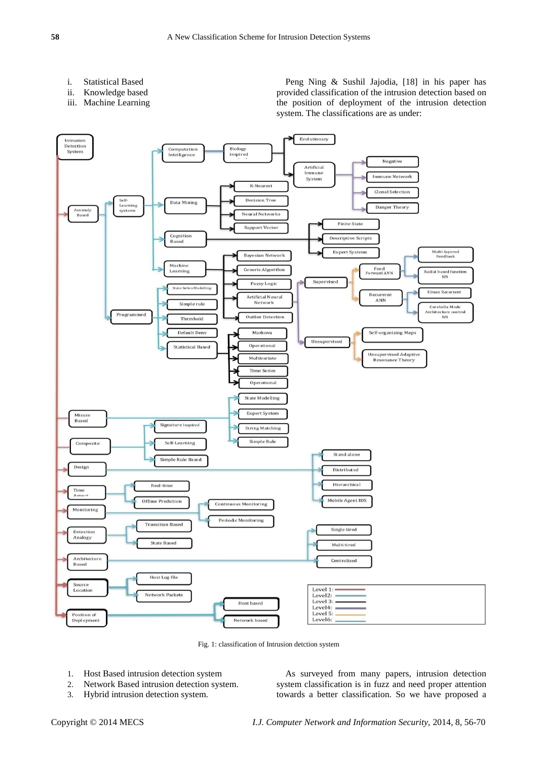- i. Statistical Based
- ii. Knowledge based
- iii. Machine Learning

Peng Ning & Sushil Jajodia, [18] in his paper has provided classification of the intrusion detection based on the position of deployment of the intrusion detection system. The classifications are as under:



Fig. 1: classification of Intrusion detction system

- 1. Host Based intrusion detection system
- 2. Network Based intrusion detection system.
- 3. Hybrid intrusion detection system.

As surveyed from many papers, intrusion detection system classification is in fuzz and need proper attention towards a better classification. So we have proposed a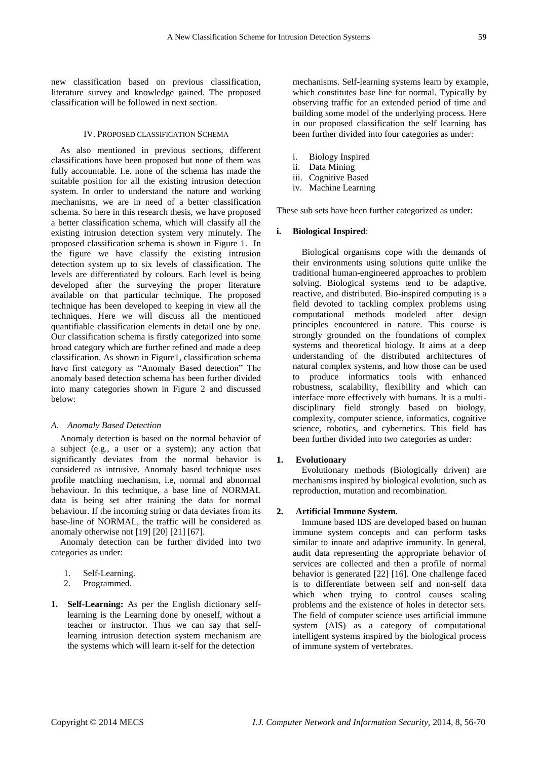new classification based on previous classification, literature survey and knowledge gained. The proposed classification will be followed in next section.

#### IV. PROPOSED CLASSIFICATION SCHEMA

As also mentioned in previous sections, different classifications have been proposed but none of them was fully accountable. I.e. none of the schema has made the suitable position for all the existing intrusion detection system. In order to understand the nature and working mechanisms, we are in need of a better classification schema. So here in this research thesis, we have proposed a better classification schema, which will classify all the existing intrusion detection system very minutely. The proposed classification schema is shown in Figure 1. In the figure we have classify the existing intrusion detection system up to six levels of classification. The levels are differentiated by colours. Each level is being developed after the surveying the proper literature available on that particular technique. The proposed technique has been developed to keeping in view all the techniques. Here we will discuss all the mentioned quantifiable classification elements in detail one by one. Our classification schema is firstly categorized into some broad category which are further refined and made a deep classification. As shown in Figure1, classification schema have first category as "Anomaly Based detection" The anomaly based detection schema has been further divided into many categories shown in Figure 2 and discussed below:

## *A. Anomaly Based Detection*

Anomaly detection is based on the normal behavior of a subject (e.g., a user or a system); any action that significantly deviates from the normal behavior is considered as intrusive. Anomaly based technique uses profile matching mechanism, i.e, normal and abnormal behaviour. In this technique, a base line of NORMAL data is being set after training the data for normal behaviour. If the incoming string or data deviates from its base-line of NORMAL, the traffic will be considered as anomaly otherwise not [19] [20] [21] [67].

Anomaly detection can be further divided into two categories as under:

- 1. Self-Learning.
- 2. Programmed.
- **1. Self-Learning:** As per the English dictionary selflearning is the Learning done by oneself, without a teacher or instructor. Thus we can say that selflearning intrusion detection system mechanism are the systems which will learn it-self for the detection

mechanisms. Self-learning systems learn by example, which constitutes base line for normal. Typically by observing traffic for an extended period of time and building some model of the underlying process. Here in our proposed classification the self learning has been further divided into four categories as under:

- i. Biology Inspired
- ii. Data Mining
- iii. Cognitive Based
- iv. Machine Learning

These sub sets have been further categorized as under:

## **i. Biological Inspired**:

Biological organisms cope with the demands of their environments using solutions quite unlike the traditional human-engineered approaches to problem solving. Biological systems tend to be adaptive, reactive, and distributed. Bio-inspired computing is a field devoted to tackling complex problems using computational methods modeled after design principles encountered in nature. This course is strongly grounded on the foundations of complex systems and theoretical biology. It aims at a deep understanding of the distributed architectures of natural complex systems, and how those can be used to produce informatics tools with enhanced robustness, scalability, flexibility and which can interface more effectively with humans. It is a multidisciplinary field strongly based on biology, complexity, computer science, informatics, cognitive science, robotics, and cybernetics. This field has been further divided into two categories as under:

## **1. Evolutionary**

Evolutionary methods (Biologically driven) are mechanisms inspired by biological evolution, such as reproduction, mutation and recombination.

## **2. Artificial Immune System.**

Immune based IDS are developed based on human immune system concepts and can perform tasks similar to innate and adaptive immunity. In general, audit data representing the appropriate behavior of services are collected and then a profile of normal behavior is generated [22] [16]. One challenge faced is to differentiate between self and non-self data which when trying to control causes scaling problems and the existence of holes in detector sets. The field of computer science uses artificial immune system (AIS) as a category of computational intelligent systems inspired by the biological process of immune system of vertebrates.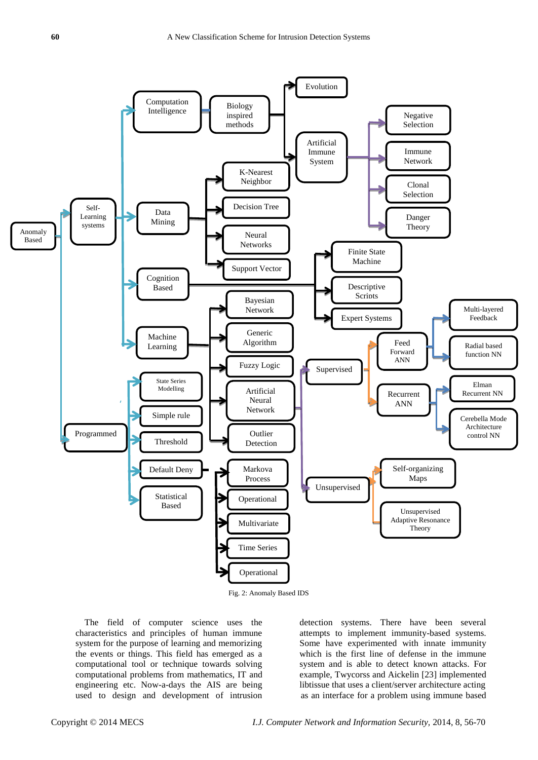

Fig. 2: Anomaly Based IDS

The field of computer science uses the characteristics and principles of human immune system for the purpose of learning and memorizing the events or things. This field has emerged as a computational tool or technique towards solving computational problems from mathematics, IT and engineering etc. Now-a-days the AIS are being used to design and development of intrusion detection systems. There have been several attempts to implement immunity-based systems. Some have experimented with innate immunity which is the first line of defense in the immune system and is able to detect known attacks. For example, Twycorss and Aickelin [23] implemented libtissue that uses a client/server architecture acting as an interface for a problem using immune based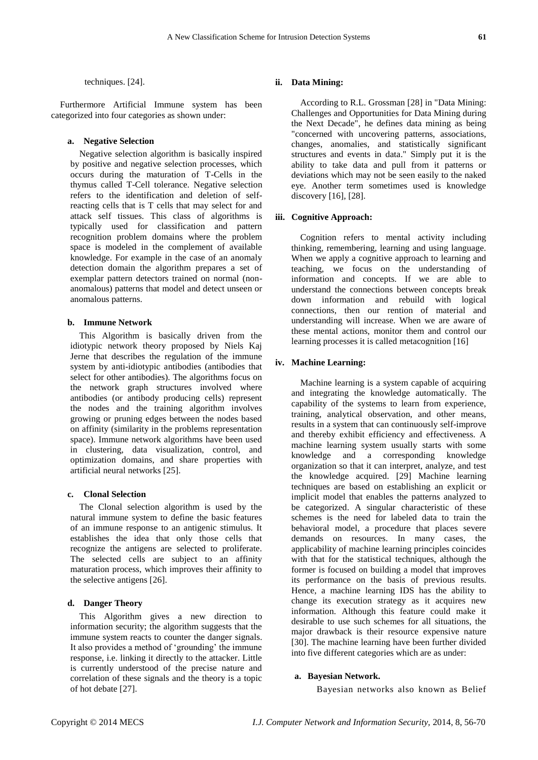techniques. [24].

Furthermore Artificial Immune system has been categorized into four categories as shown under:

## **a. Negative Selection**

Negative selection algorithm is basically inspired by positive and negative selection processes, which occurs during the maturation of T-Cells in the thymus called T-Cell tolerance. Negative selection refers to the identification and deletion of selfreacting cells that is T cells that may select for and attack self tissues. This class of algorithms is typically used for classification and pattern recognition problem domains where the problem space is modeled in the complement of available knowledge. For example in the case of an anomaly detection domain the algorithm prepares a set of exemplar pattern detectors trained on normal (nonanomalous) patterns that model and detect unseen or anomalous patterns.

## **b. Immune Network**

This Algorithm is basically driven from the idiotypic network theory proposed by Niels Kaj Jerne that describes the regulation of the immune system by anti-idiotypic antibodies (antibodies that select for other antibodies). The algorithms focus on the network graph structures involved where antibodies (or antibody producing cells) represent the nodes and the training algorithm involves growing or pruning edges between the nodes based on affinity (similarity in the problems representation space). Immune network algorithms have been used in clustering, data visualization, control, and optimization domains, and share properties with artificial neural networks [25].

#### **c. Clonal Selection**

The Clonal selection algorithm is used by the natural immune system to define the basic features of an immune response to an antigenic stimulus. It establishes the idea that only those cells that recognize the antigens are selected to proliferate. The selected cells are subject to an affinity maturation process, which improves their affinity to the selective antigens [26].

## **d. Danger Theory**

This Algorithm gives a new direction to information security; the algorithm suggests that the immune system reacts to counter the danger signals. It also provides a method of 'grounding' the immune response, i.e. linking it directly to the attacker. Little is currently understood of the precise nature and correlation of these signals and the theory is a topic of hot debate [27].

## **ii. Data Mining:**

According to R.L. Grossman [28] in "Data Mining: Challenges and Opportunities for Data Mining during the Next Decade", he defines data mining as being "concerned with uncovering patterns, associations, changes, anomalies, and statistically significant structures and events in data." Simply put it is the ability to take data and pull from it patterns or deviations which may not be seen easily to the naked eye. Another term sometimes used is knowledge discovery [16], [28].

#### **iii. Cognitive Approach:**

Cognition refers to mental activity including thinking, remembering, learning and using language. When we apply a cognitive approach to learning and teaching, we focus on the understanding of information and concepts. If we are able to understand the connections between concepts break down information and rebuild with logical connections, then our rention of material and understanding will increase. When we are aware of these mental actions, monitor them and control our learning processes it is called metacognition [16]

## **iv. Machine Learning:**

Machine learning is a system capable of acquiring and integrating the knowledge automatically. The capability of the systems to learn from experience, training, analytical observation, and other means, results in a system that can continuously self-improve and thereby exhibit efficiency and effectiveness. A machine learning system usually starts with some knowledge and a corresponding knowledge organization so that it can interpret, analyze, and test the knowledge acquired. [29] Machine learning techniques are based on establishing an explicit or implicit model that enables the patterns analyzed to be categorized. A singular characteristic of these schemes is the need for labeled data to train the behavioral model, a procedure that places severe demands on resources. In many cases, the applicability of machine learning principles coincides with that for the statistical techniques, although the former is focused on building a model that improves its performance on the basis of previous results. Hence, a machine learning IDS has the ability to change its execution strategy as it acquires new information. Although this feature could make it desirable to use such schemes for all situations, the major drawback is their resource expensive nature [30]. The machine learning have been further divided into five different categories which are as under:

## **a. Bayesian Network.**

Bayesian networks also known as Belief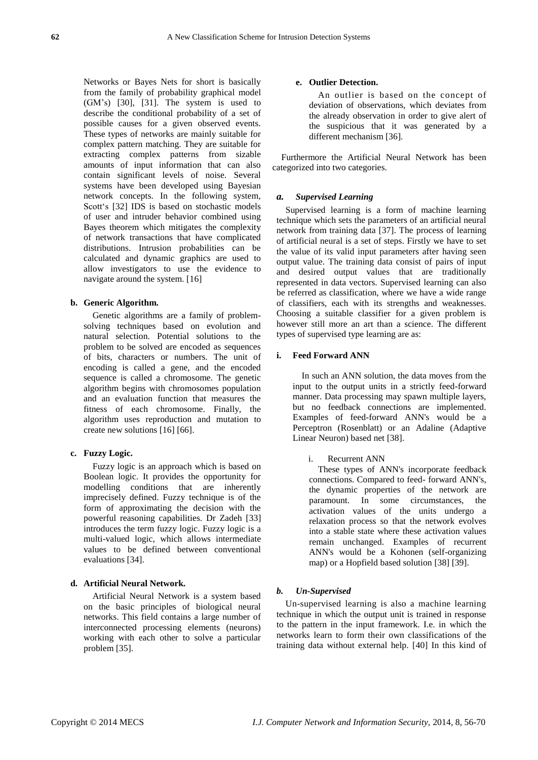Networks or Bayes Nets for short is basically from the family of probability graphical model (GM's) [30], [31]. The system is used to describe the conditional probability of a set of possible causes for a given observed events. These types of networks are mainly suitable for complex pattern matching. They are suitable for extracting complex patterns from sizable amounts of input information that can also contain significant levels of noise. Several systems have been developed using Bayesian network concepts. In the following system, Scott's [32] IDS is based on stochastic models of user and intruder behavior combined using Bayes theorem which mitigates the complexity of network transactions that have complicated distributions. Intrusion probabilities can be calculated and dynamic graphics are used to allow investigators to use the evidence to navigate around the system. [16]

## **b. Generic Algorithm.**

Genetic algorithms are a family of problemsolving techniques based on evolution and natural selection. Potential solutions to the problem to be solved are encoded as sequences of bits, characters or numbers. The unit of encoding is called a gene, and the encoded sequence is called a chromosome. The genetic algorithm begins with chromosomes population and an evaluation function that measures the fitness of each chromosome. Finally, the algorithm uses reproduction and mutation to create new solutions [16] [66].

## **c. Fuzzy Logic.**

Fuzzy logic is an approach which is based on Boolean logic. It provides the opportunity for modelling conditions that are inherently imprecisely defined. Fuzzy technique is of the form of approximating the decision with the powerful reasoning capabilities. Dr Zadeh [33] introduces the term fuzzy logic. Fuzzy logic is a multi-valued logic, which allows intermediate values to be defined between conventional evaluations [34].

## **d. Artificial Neural Network.**

Artificial Neural Network is a system based on the basic principles of biological neural networks. This field contains a large number of interconnected processing elements (neurons) working with each other to solve a particular problem [35].

## **e. Outlier Detection.**

An outlier is based on the concept of deviation of observations, which deviates from the already observation in order to give alert of the suspicious that it was generated by a different mechanism [36].

Furthermore the Artificial Neural Network has been categorized into two categories.

#### *a. Supervised Learning*

Supervised learning is a form of machine learning technique which sets the parameters of an artificial neural network from training data [37]. The process of learning of artificial neural is a set of steps. Firstly we have to set the value of its valid input parameters after having seen output value. The training data consist of pairs of input and desired output values that are traditionally represented in data vectors. Supervised learning can also be referred as classification, where we have a wide range of classifiers, each with its strengths and weaknesses. Choosing a suitable classifier for a given problem is however still more an art than a science. The different types of supervised type learning are as:

#### **i. Feed Forward ANN**

In such an ANN solution, the data moves from the input to the output units in a strictly feed-forward manner. Data processing may spawn multiple layers, but no feedback connections are implemented. Examples of feed-forward ANN's would be a Perceptron (Rosenblatt) or an Adaline (Adaptive Linear Neuron) based net [38].

#### i. Recurrent ANN

These types of ANN's incorporate feedback connections. Compared to feed- forward ANN's, the dynamic properties of the network are paramount. In some circumstances, the activation values of the units undergo a relaxation process so that the network evolves into a stable state where these activation values remain unchanged. Examples of recurrent ANN's would be a Kohonen (self-organizing map) or a Hopfield based solution [38] [39].

#### *b. Un-Supervised*

Un-supervised learning is also a machine learning technique in which the output unit is trained in response to the pattern in the input framework. I.e. in which the networks learn to form their own classifications of the training data without external help. [40] In this kind of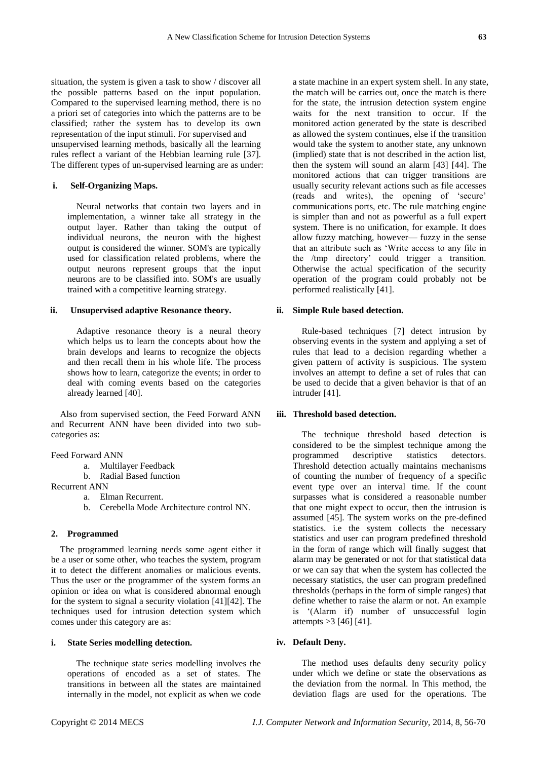situation, the system is given a task to show / discover all the possible patterns based on the input population. Compared to the supervised learning method, there is no a priori set of categories into which the patterns are to be classified; rather the system has to develop its own representation of the input stimuli. For supervised and unsupervised learning methods, basically all the learning rules reflect a variant of the Hebbian learning rule [37]. The different types of un-supervised learning are as under:

#### **i. Self-Organizing Maps.**

Neural networks that contain two layers and in implementation, a winner take all strategy in the output layer. Rather than taking the output of individual neurons, the neuron with the highest output is considered the winner. SOM's are typically used for classification related problems, where the output neurons represent groups that the input neurons are to be classified into. SOM's are usually trained with a competitive learning strategy.

#### **ii. Unsupervised adaptive Resonance theory.**

Adaptive resonance theory is a neural theory which helps us to learn the concepts about how the brain develops and learns to recognize the objects and then recall them in his whole life. The process shows how to learn, categorize the events; in order to deal with coming events based on the categories already learned [40].

Also from supervised section, the Feed Forward ANN and Recurrent ANN have been divided into two subcategories as:

#### Feed Forward ANN

- a. Multilayer Feedback
- b. Radial Based function
- Recurrent ANN
	- a. Elman Recurrent.
	- b. Cerebella Mode Architecture control NN.

#### **2. Programmed**

The programmed learning needs some agent either it be a user or some other, who teaches the system, program it to detect the different anomalies or malicious events. Thus the user or the programmer of the system forms an opinion or idea on what is considered abnormal enough for the system to signal a security violation [41][42]. The techniques used for intrusion detection system which comes under this category are as:

#### **i. State Series modelling detection.**

The technique state series modelling involves the operations of encoded as a set of states. The transitions in between all the states are maintained internally in the model, not explicit as when we code a state machine in an expert system shell. In any state, the match will be carries out, once the match is there for the state, the intrusion detection system engine waits for the next transition to occur. If the monitored action generated by the state is described as allowed the system continues, else if the transition would take the system to another state, any unknown (implied) state that is not described in the action list, then the system will sound an alarm [43] [44]. The monitored actions that can trigger transitions are usually security relevant actions such as file accesses (reads and writes), the opening of ‗secure' communications ports, etc. The rule matching engine is simpler than and not as powerful as a full expert system. There is no unification, for example. It does allow fuzzy matching, however— fuzzy in the sense that an attribute such as 'Write access to any file in the /tmp directory' could trigger a transition. Otherwise the actual specification of the security operation of the program could probably not be performed realistically [41].

#### **ii. Simple Rule based detection.**

Rule-based techniques [7] detect intrusion by observing events in the system and applying a set of rules that lead to a decision regarding whether a given pattern of activity is suspicious. The system involves an attempt to define a set of rules that can be used to decide that a given behavior is that of an intruder [41].

#### **iii. Threshold based detection.**

The technique threshold based detection is considered to be the simplest technique among the programmed descriptive statistics detectors. Threshold detection actually maintains mechanisms of counting the number of frequency of a specific event type over an interval time. If the count surpasses what is considered a reasonable number that one might expect to occur, then the intrusion is assumed [45]. The system works on the pre-defined statistics. i.e the system collects the necessary statistics and user can program predefined threshold in the form of range which will finally suggest that alarm may be generated or not for that statistical data or we can say that when the system has collected the necessary statistics, the user can program predefined thresholds (perhaps in the form of simple ranges) that define whether to raise the alarm or not. An example is ‗(Alarm if) number of unsuccessful login attempts >3 [46] [41].

#### **iv. Default Deny.**

The method uses defaults deny security policy under which we define or state the observations as the deviation from the normal. In This method, the deviation flags are used for the operations. The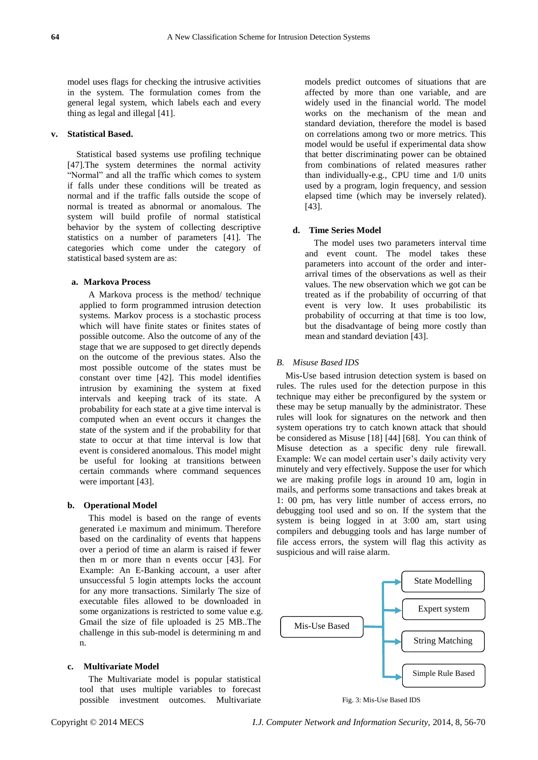model uses flags for checking the intrusive activities in the system. The formulation comes from the general legal system, which labels each and every thing as legal and illegal [41].

## **v. Statistical Based.**

Statistical based systems use profiling technique [47].The system determines the normal activity "Normal" and all the traffic which comes to system if falls under these conditions will be treated as normal and if the traffic falls outside the scope of normal is treated as abnormal or anomalous. The system will build profile of normal statistical behavior by the system of collecting descriptive statistics on a number of parameters [41]. The categories which come under the category of statistical based system are as:

## **a. Markova Process**

A Markova process is the method/ technique applied to form programmed intrusion detection systems. Markov process is a stochastic process which will have finite states or finites states of possible outcome. Also the outcome of any of the stage that we are supposed to get directly depends on the outcome of the previous states. Also the most possible outcome of the states must be constant over time [42]. This model identifies intrusion by examining the system at fixed intervals and keeping track of its state. A probability for each state at a give time interval is computed when an event occurs it changes the state of the system and if the probability for that state to occur at that time interval is low that event is considered anomalous. This model might be useful for looking at transitions between certain commands where command sequences were important [43].

#### **b. Operational Model**

This model is based on the range of events generated i.e maximum and minimum. Therefore based on the cardinality of events that happens over a period of time an alarm is raised if fewer then m or more than n events occur [43]. For Example: An E-Banking account, a user after unsuccessful 5 login attempts locks the account for any more transactions. Similarly The size of executable files allowed to be downloaded in some organizations is restricted to some value e.g. Gmail the size of file uploaded is 25 MB..The challenge in this sub-model is determining m and n.

## **c. Multivariate Model**

The Multivariate model is popular statistical tool that uses multiple variables to forecast possible investment outcomes. Multivariate models predict outcomes of situations that are affected by more than one variable, and are widely used in the financial world. The model works on the mechanism of the mean and standard deviation, therefore the model is based on correlations among two or more metrics. This model would be useful if experimental data show that better discriminating power can be obtained from combinations of related measures rather than individually-e.g., CPU time and 1/0 units used by a program, login frequency, and session elapsed time (which may be inversely related). [43].

## **d. Time Series Model**

The model uses two parameters interval time and event count. The model takes these parameters into account of the order and interarrival times of the observations as well as their values. The new observation which we got can be treated as if the probability of occurring of that event is very low. It uses probabilistic its probability of occurring at that time is too low, but the disadvantage of being more costly than mean and standard deviation [43].

## *B. Misuse Based IDS*

Mis-Use based intrusion detection system is based on rules. The rules used for the detection purpose in this technique may either be preconfigured by the system or these may be setup manually by the administrator. These rules will look for signatures on the network and then system operations try to catch known attack that should be considered as Misuse [18] [44] [68]. You can think of Misuse detection as a specific deny rule firewall. Example: We can model certain user's daily activity very minutely and very effectively. Suppose the user for which we are making profile logs in around 10 am, login in mails, and performs some transactions and takes break at 1: 00 pm, has very little number of access errors, no debugging tool used and so on. If the system that the system is being logged in at 3:00 am, start using compilers and debugging tools and has large number of file access errors, the system will flag this activity as suspicious and will raise alarm.



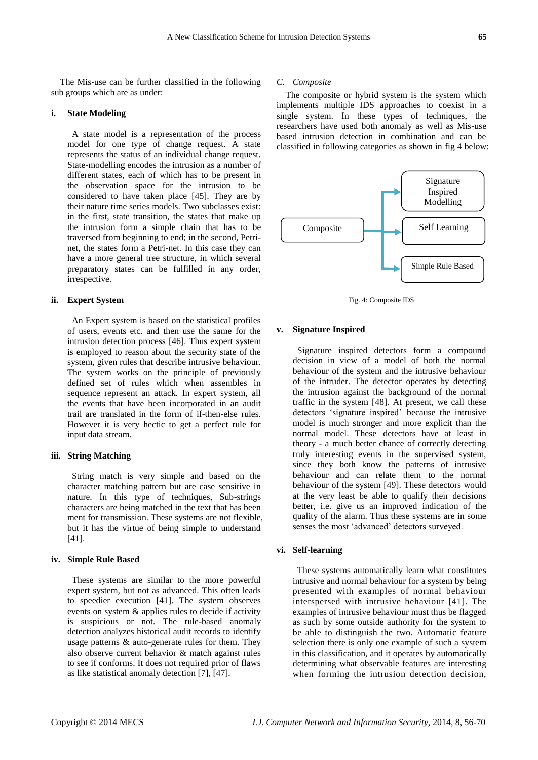The Mis-use can be further classified in the following sub groups which are as under:

#### **i. State Modeling**

A state model is a representation of the process model for one type of change request. A state represents the status of an individual change request. State-modelling encodes the intrusion as a number of different states, each of which has to be present in the observation space for the intrusion to be considered to have taken place [45]. They are by their nature time series models. Two subclasses exist: in the first, state transition, the states that make up the intrusion form a simple chain that has to be traversed from beginning to end; in the second, Petrinet, the states form a Petri-net. In this case they can have a more general tree structure, in which several preparatory states can be fulfilled in any order, irrespective.

## **ii. Expert System**

An Expert system is based on the statistical profiles of users, events etc. and then use the same for the intrusion detection process [46]. Thus expert system is employed to reason about the security state of the system, given rules that describe intrusive behaviour. The system works on the principle of previously defined set of rules which when assembles in sequence represent an attack. In expert system, all the events that have been incorporated in an audit trail are translated in the form of if-then-else rules. However it is very hectic to get a perfect rule for input data stream.

## **iii. String Matching**

String match is very simple and based on the character matching pattern but are case sensitive in nature. In this type of techniques, Sub-strings characters are being matched in the text that has been ment for transmission. These systems are not flexible, but it has the virtue of being simple to understand [41].

#### **iv. Simple Rule Based**

These systems are similar to the more powerful expert system, but not as advanced. This often leads to speedier execution [41]. The system observes events on system & applies rules to decide if activity is suspicious or not. The rule-based anomaly detection analyzes historical audit records to identify usage patterns & auto-generate rules for them. They also observe current behavior & match against rules to see if conforms. It does not required prior of flaws as like statistical anomaly detection [7], [47].

#### *C. Composite*

The composite or hybrid system is the system which implements multiple IDS approaches to coexist in a single system. In these types of techniques, the researchers have used both anomaly as well as Mis-use based intrusion detection in combination and can be classified in following categories as shown in fig 4 below:



Fig. 4: Composite IDS

## **v. Signature Inspired**

Signature inspired detectors form a compound decision in view of a model of both the normal behaviour of the system and the intrusive behaviour of the intruder. The detector operates by detecting the intrusion against the background of the normal traffic in the system [48]. At present, we call these detectors 'signature inspired' because the intrusive model is much stronger and more explicit than the normal model. These detectors have at least in theory - a much better chance of correctly detecting truly interesting events in the supervised system, since they both know the patterns of intrusive behaviour and can relate them to the normal behaviour of the system [49]. These detectors would at the very least be able to qualify their decisions better, i.e. give us an improved indication of the quality of the alarm. Thus these systems are in some senses the most 'advanced' detectors surveyed.

## **vi. Self-learning**

These systems automatically learn what constitutes intrusive and normal behaviour for a system by being presented with examples of normal behaviour interspersed with intrusive behaviour [41]. The examples of intrusive behaviour must thus be flagged as such by some outside authority for the system to be able to distinguish the two. Automatic feature selection there is only one example of such a system in this classification, and it operates by automatically determining what observable features are interesting when forming the intrusion detection decision,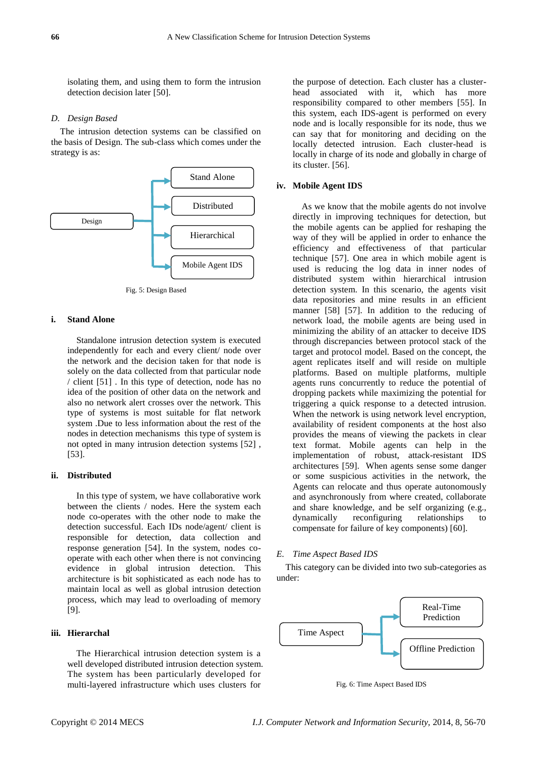isolating them, and using them to form the intrusion detection decision later [50].

#### *D. Design Based*

The intrusion detection systems can be classified on the basis of Design. The sub-class which comes under the strategy is as:



Fig. 5: Design Based

## **i. Stand Alone**

Standalone intrusion detection system is executed independently for each and every client/ node over the network and the decision taken for that node is solely on the data collected from that particular node / client [51] . In this type of detection, node has no idea of the position of other data on the network and also no network alert crosses over the network. This type of systems is most suitable for flat network system .Due to less information about the rest of the nodes in detection mechanisms this type of system is not opted in many intrusion detection systems [52] , [53].

#### **ii. Distributed**

In this type of system, we have collaborative work between the clients / nodes. Here the system each node co-operates with the other node to make the detection successful. Each IDs node/agent/ client is responsible for detection, data collection and response generation [54]. In the system, nodes cooperate with each other when there is not convincing evidence in global intrusion detection. This architecture is bit sophisticated as each node has to maintain local as well as global intrusion detection process, which may lead to overloading of memory [9].

## **iii. Hierarchal**

The Hierarchical intrusion detection system is a well developed distributed intrusion detection system. The system has been particularly developed for multi-layered infrastructure which uses clusters for

the purpose of detection. Each cluster has a clusterhead associated with it, which has more responsibility compared to other members [55]. In this system, each IDS-agent is performed on every node and is locally responsible for its node, thus we can say that for monitoring and deciding on the locally detected intrusion. Each cluster-head is locally in charge of its node and globally in charge of its cluster. [56].

## **iv. Mobile Agent IDS**

As we know that the mobile agents do not involve directly in improving techniques for detection, but the mobile agents can be applied for reshaping the way of they will be applied in order to enhance the efficiency and effectiveness of that particular technique [57]. One area in which mobile agent is used is reducing the log data in inner nodes of distributed system within hierarchical intrusion detection system. In this scenario, the agents visit data repositories and mine results in an efficient manner [58] [57]. In addition to the reducing of network load, the mobile agents are being used in minimizing the ability of an attacker to deceive IDS through discrepancies between protocol stack of the target and protocol model. Based on the concept, the agent replicates itself and will reside on multiple platforms. Based on multiple platforms, multiple agents runs concurrently to reduce the potential of dropping packets while maximizing the potential for triggering a quick response to a detected intrusion. When the network is using network level encryption, availability of resident components at the host also provides the means of viewing the packets in clear text format. Mobile agents can help in the implementation of robust, attack-resistant IDS architectures [59]. When agents sense some danger or some suspicious activities in the network, the Agents can relocate and thus operate autonomously and asynchronously from where created, collaborate and share knowledge, and be self organizing (e.g., dynamically reconfiguring relationships to compensate for failure of key components) [60].

#### *E. Time Aspect Based IDS*

This category can be divided into two sub-categories as under:



Fig. 6: Time Aspect Based IDS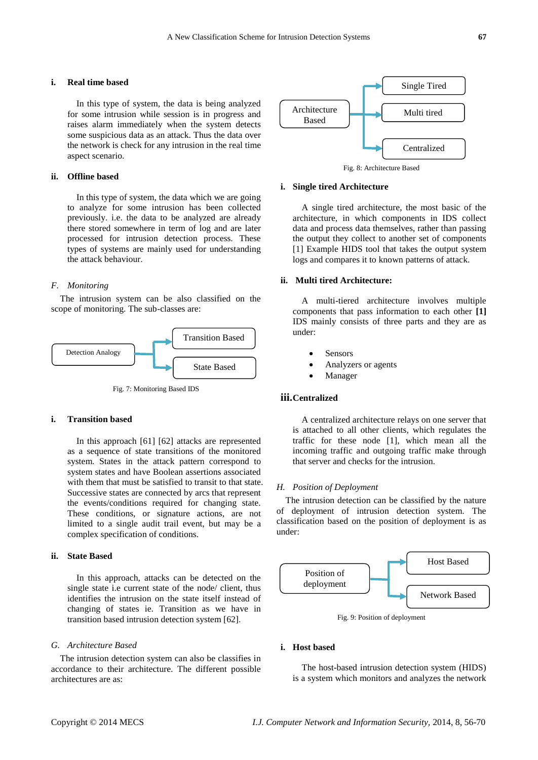#### **i. Real time based**

In this type of system, the data is being analyzed for some intrusion while session is in progress and raises alarm immediately when the system detects some suspicious data as an attack. Thus the data over the network is check for any intrusion in the real time aspect scenario.

## **ii. Offline based**

In this type of system, the data which we are going to analyze for some intrusion has been collected previously. i.e. the data to be analyzed are already there stored somewhere in term of log and are later processed for intrusion detection process. These types of systems are mainly used for understanding the attack behaviour.

#### *F. Monitoring*

The intrusion system can be also classified on the scope of monitoring. The sub-classes are:



Fig. 7: Monitoring Based IDS

## **i. Transition based**

In this approach [61] [62] attacks are represented as a sequence of state transitions of the monitored system. States in the attack pattern correspond to system states and have Boolean assertions associated with them that must be satisfied to transit to that state. Successive states are connected by arcs that represent the events/conditions required for changing state. These conditions, or signature actions, are not limited to a single audit trail event, but may be a complex specification of conditions.

# **ii. State Based**

In this approach, attacks can be detected on the single state i.e current state of the node/ client, thus identifies the intrusion on the state itself instead of changing of states ie. Transition as we have in transition based intrusion detection system [62].

#### *G. Architecture Based*

The intrusion detection system can also be classifies in accordance to their architecture. The different possible architectures are as:



#### **i. Single tired Architecture**

A single tired architecture, the most basic of the architecture, in which components in IDS collect data and process data themselves, rather than passing the output they collect to another set of components [1] Example HIDS tool that takes the output system logs and compares it to known patterns of attack.

## **ii. Multi tired Architecture:**

A multi-tiered architecture involves multiple components that pass information to each other **[1]** IDS mainly consists of three parts and they are as under:

- Sensors
- Analyzers or agents
- Manager

#### **iii.Centralized**

A centralized architecture relays on one server that is attached to all other clients, which regulates the traffic for these node [1], which mean all the incoming traffic and outgoing traffic make through that server and checks for the intrusion.

#### *H. Position of Deployment*

The intrusion detection can be classified by the nature of deployment of intrusion detection system. The classification based on the position of deployment is as under:



Fig. 9: Position of deployment

## **i. Host based**

The host-based intrusion detection system (HIDS) is a system which monitors and analyzes the network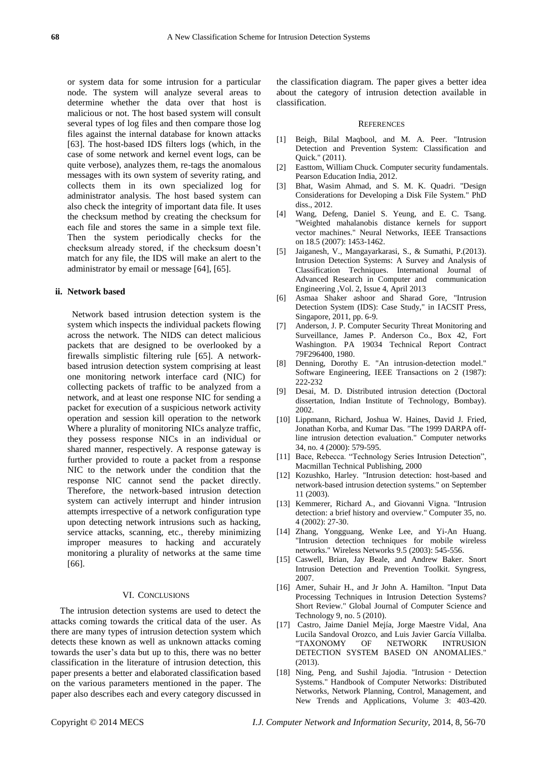or system data for some intrusion for a particular node. The system will analyze several areas to determine whether the data over that host is malicious or not. The host based system will consult several types of log files and then compare those log files against the internal database for known attacks [63]. The host-based IDS filters logs (which, in the case of some network and kernel event logs, can be quite verbose), analyzes them, re-tags the anomalous messages with its own system of severity rating, and collects them in its own specialized log for administrator analysis. The host based system can also check the integrity of important data file. It uses the checksum method by creating the checksum for each file and stores the same in a simple text file. Then the system periodically checks for the checksum already stored, if the checksum doesn't match for any file, the IDS will make an alert to the administrator by email or message [64], [65].

#### **ii. Network based**

Network based intrusion detection system is the system which inspects the individual packets flowing across the network. The NIDS can detect malicious packets that are designed to be overlooked by a firewalls simplistic filtering rule [65]. A networkbased intrusion detection system comprising at least one monitoring network interface card (NIC) for collecting packets of traffic to be analyzed from a network, and at least one response NIC for sending a packet for execution of a suspicious network activity operation and session kill operation to the network Where a plurality of monitoring NICs analyze traffic, they possess response NICs in an individual or shared manner, respectively. A response gateway is further provided to route a packet from a response NIC to the network under the condition that the response NIC cannot send the packet directly. Therefore, the network-based intrusion detection system can actively interrupt and hinder intrusion attempts irrespective of a network configuration type upon detecting network intrusions such as hacking, service attacks, scanning, etc., thereby minimizing improper measures to hacking and accurately monitoring a plurality of networks at the same time [66].

#### VI. CONCLUSIONS

The intrusion detection systems are used to detect the attacks coming towards the critical data of the user. As there are many types of intrusion detection system which detects these known as well as unknown attacks coming towards the user's data but up to this, there was no better classification in the literature of intrusion detection, this paper presents a better and elaborated classification based on the various parameters mentioned in the paper. The paper also describes each and every category discussed in the classification diagram. The paper gives a better idea about the category of intrusion detection available in classification.

#### **REFERENCES**

- [1] Beigh, Bilal Maqbool, and M. A. Peer. "Intrusion Detection and Prevention System: Classification and Quick." (2011).
- [2] Easttom, William Chuck. Computer security fundamentals. Pearson Education India, 2012.
- [3] Bhat, Wasim Ahmad, and S. M. K. Quadri. "Design Considerations for Developing a Disk File System." PhD diss., 2012.
- [4] Wang, Defeng, Daniel S. Yeung, and E. C. Tsang. "Weighted mahalanobis distance kernels for support vector machines." Neural Networks, IEEE Transactions on 18.5 (2007): 1453-1462.
- [5] Jaiganesh, V., Mangayarkarasi, S., & Sumathi, P.(2013). Intrusion Detection Systems: A Survey and Analysis of Classification Techniques. International Journal of Advanced Research in Computer and communication Engineering ,Vol. 2, Issue 4, April 2013
- [6] Asmaa Shaker ashoor and Sharad Gore, "Intrusion Detection System (IDS): Case Study," in IACSIT Press, Singapore, 2011, pp. 6-9.
- [7] Anderson, J. P. Computer Security Threat Monitoring and Surveillance, James P. Anderson Co., Box 42, Fort Washington. PA 19034 Technical Report Contract 79F296400, 1980.
- [8] Denning, Dorothy E. "An intrusion-detection model." Software Engineering, IEEE Transactions on 2 (1987): 222-232
- [9] Desai, M. D. Distributed intrusion detection (Doctoral dissertation, Indian Institute of Technology, Bombay). 2002.
- [10] Lippmann, Richard, Joshua W. Haines, David J. Fried, Jonathan Korba, and Kumar Das. "The 1999 DARPA offline intrusion detection evaluation." Computer networks 34, no. 4 (2000): 579-595.
- [11] Bace, Rebecca. "Technology Series Intrusion Detection", Macmillan Technical Publishing, 2000
- [12] Kozushko, Harley. "Intrusion detection: host-based and network-based intrusion detection systems." on September 11 (2003).
- [13] Kemmerer, Richard A., and Giovanni Vigna. "Intrusion detection: a brief history and overview." Computer 35, no. 4 (2002): 27-30.
- [14] Zhang, Yongguang, Wenke Lee, and Yi-An Huang. "Intrusion detection techniques for mobile wireless networks." Wireless Networks 9.5 (2003): 545-556.
- [15] Caswell, Brian, Jay Beale, and Andrew Baker. Snort Intrusion Detection and Prevention Toolkit. Syngress, 2007.
- [16] Amer, Suhair H., and Jr John A. Hamilton. "Input Data Processing Techniques in Intrusion Detection Systems? Short Review." Global Journal of Computer Science and Technology 9, no. 5 (2010).
- [17] Castro, Jaime Daniel Mejía, Jorge Maestre Vidal, Ana Lucila Sandoval Orozco, and Luis Javier Garc á Villalba. "TAXONOMY OF NETWORK INTRUSION DETECTION SYSTEM BASED ON ANOMALIES." (2013).
- [18] Ning, Peng, and Sushil Jajodia. "Intrusion ‐Detection Systems." Handbook of Computer Networks: Distributed Networks, Network Planning, Control, Management, and New Trends and Applications, Volume 3: 403-420.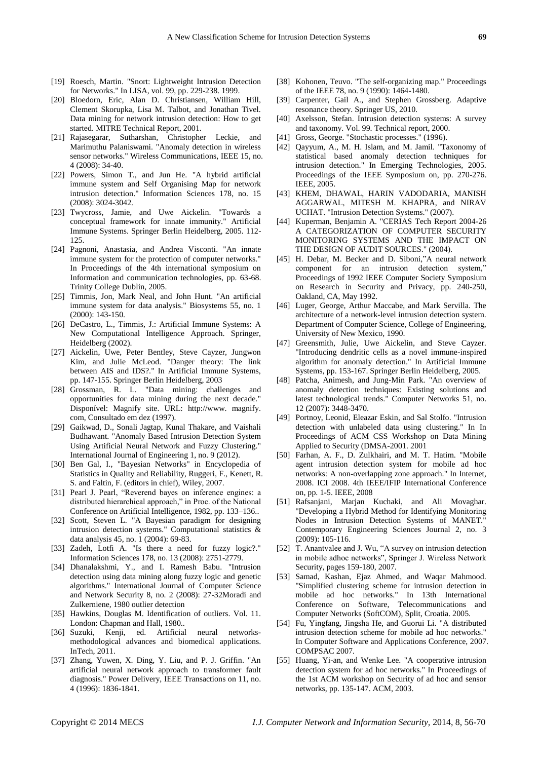- [19] Roesch, Martin. "Snort: Lightweight Intrusion Detection for Networks." In LISA, vol. 99, pp. 229-238. 1999.
- [20] Bloedorn, Eric, Alan D. Christiansen, William Hill, Clement Skorupka, Lisa M. Talbot, and Jonathan Tivel. Data mining for network intrusion detection: How to get started. MITRE Technical Report, 2001.
- [21] Rajasegarar, Sutharshan, Christopher Leckie, and Marimuthu Palaniswami. "Anomaly detection in wireless sensor networks." Wireless Communications, IEEE 15, no. 4 (2008): 34-40.
- [22] Powers, Simon T., and Jun He. "A hybrid artificial immune system and Self Organising Map for network intrusion detection." Information Sciences 178, no. 15 (2008): 3024-3042.
- [23] Twycross, Jamie, and Uwe Aickelin. "Towards a conceptual framework for innate immunity." Artificial Immune Systems. Springer Berlin Heidelberg, 2005. 112- 125.
- [24] Pagnoni, Anastasia, and Andrea Visconti. "An innate immune system for the protection of computer networks." In Proceedings of the 4th international symposium on Information and communication technologies, pp. 63-68. Trinity College Dublin, 2005.
- [25] Timmis, Jon, Mark Neal, and John Hunt. "An artificial immune system for data analysis." Biosystems 55, no. 1 (2000): 143-150.
- [26] DeCastro, L., Timmis, J.: Artificial Immune Systems: A New Computational Intelligence Approach. Springer, Heidelberg (2002).
- [27] Aickelin, Uwe, Peter Bentley, Steve Cayzer, Jungwon Kim, and Julie McLeod. "Danger theory: The link between AIS and IDS?." In Artificial Immune Systems, pp. 147-155. Springer Berlin Heidelberg, 2003
- [28] Grossman, R. L. "Data mining: challenges and opportunities for data mining during the next decade." Dispon ível: Magnify site. URL: http://www. magnify. com, Consultado em dez (1997).
- [29] Gaikwad, D., Sonali Jagtap, Kunal Thakare, and Vaishali Budhawant. "Anomaly Based Intrusion Detection System Using Artificial Neural Network and Fuzzy Clustering." International Journal of Engineering 1, no. 9 (2012).
- [30] Ben Gal, I., "Bayesian Networks" in Encyclopedia of Statistics in Quality and Reliability, Ruggeri, F., Kenett, R. S. and Faltin, F. (editors in chief), Wiley, 2007.
- [31] Pearl J. Pearl, "Reverend bayes on inference engines: a distributed hierarchical approach," in Proc. of the National Conference on Artificial Intelligence, 1982, pp. 133–136..
- [32] Scott, Steven L. "A Bayesian paradigm for designing intrusion detection systems." Computational statistics & data analysis 45, no. 1 (2004): 69-83.
- [33] Zadeh, Lotfi A. "Is there a need for fuzzy logic?." Information Sciences 178, no. 13 (2008): 2751-2779.
- [34] Dhanalakshmi, Y., and I. Ramesh Babu. "Intrusion detection using data mining along fuzzy logic and genetic algorithms." International Journal of Computer Science and Network Security 8, no. 2 (2008): 27-32Moradi and Zulkerniene, 1980 outlier detection
- [35] Hawkins, Douglas M. Identification of outliers. Vol. 11. London: Chapman and Hall, 1980..
- [36] Suzuki, Kenji, ed. Artificial neural networksmethodological advances and biomedical applications. InTech, 2011.
- [37] Zhang, Yuwen, X. Ding, Y. Liu, and P. J. Griffin. "An artificial neural network approach to transformer fault diagnosis." Power Delivery, IEEE Transactions on 11, no. 4 (1996): 1836-1841.
- [38] Kohonen, Teuvo. "The self-organizing map." Proceedings of the IEEE 78, no. 9 (1990): 1464-1480.
- [39] Carpenter, Gail A., and Stephen Grossberg. Adaptive resonance theory. Springer US, 2010.
- [40] Axelsson, Stefan. Intrusion detection systems: A survey and taxonomy. Vol. 99. Technical report, 2000.
- [41] Gross, George. "Stochastic processes." (1996).
- [42] Qayyum, A., M. H. Islam, and M. Jamil. "Taxonomy of statistical based anomaly detection techniques for intrusion detection." In Emerging Technologies, 2005. Proceedings of the IEEE Symposium on, pp. 270-276. IEEE, 2005.
- [43] KHEM, DHAWAL, HARIN VADODARIA, MANISH AGGARWAL, MITESH M. KHAPRA, and NIRAV UCHAT. "Intrusion Detection Systems." (2007).
- [44] Kuperman, Benjamin A. "CERIAS Tech Report 2004-26 A CATEGORIZATION OF COMPUTER SECURITY MONITORING SYSTEMS AND THE IMPACT ON THE DESIGN OF AUDIT SOURCES." (2004).
- [45] H. Debar, M. Becker and D. Siboni,"A neural network component for an intrusion detection system," Proceedings of 1992 IEEE Computer Society Symposium on Research in Security and Privacy, pp. 240-250, Oakland, CA, May 1992.
- [46] Luger, George, Arthur Maccabe, and Mark Servilla. The architecture of a network-level intrusion detection system. Department of Computer Science, College of Engineering, University of New Mexico, 1990.
- [47] Greensmith, Julie, Uwe Aickelin, and Steve Cayzer. "Introducing dendritic cells as a novel immune-inspired algorithm for anomaly detection." In Artificial Immune Systems, pp. 153-167. Springer Berlin Heidelberg, 2005.
- [48] Patcha, Animesh, and Jung-Min Park. "An overview of anomaly detection techniques: Existing solutions and latest technological trends." Computer Networks 51, no. 12 (2007): 3448-3470.
- [49] Portnoy, Leonid, Eleazar Eskin, and Sal Stolfo. "Intrusion detection with unlabeled data using clustering." In In Proceedings of ACM CSS Workshop on Data Mining Applied to Security (DMSA-2001. 2001
- [50] Farhan, A. F., D. Zulkhairi, and M. T. Hatim. "Mobile agent intrusion detection system for mobile ad hoc networks: A non-overlapping zone approach." In Internet, 2008. ICI 2008. 4th IEEE/IFIP International Conference on, pp. 1-5. IEEE, 2008
- [51] Rafsanjani, Marjan Kuchaki, and Ali Movaghar. "Developing a Hybrid Method for Identifying Monitoring Nodes in Intrusion Detection Systems of MANET." Contemporary Engineering Sciences Journal 2, no. 3 (2009): 105-116.
- [52] T. Anantvalee and J. Wu, "A survey on intrusion detection in mobile adhoc networks", Springer J. Wireless Network Security, pages 159-180, 2007.
- [53] Samad, Kashan, Ejaz Ahmed, and Waqar Mahmood. "Simplified clustering scheme for intrusion detection in mobile ad hoc networks." In 13th International Conference on Software, Telecommunications and Computer Networks (SoftCOM), Split, Croatia. 2005.
- [54] Fu, Yingfang, Jingsha He, and Guorui Li. "A distributed intrusion detection scheme for mobile ad hoc networks." In Computer Software and Applications Conference, 2007. COMPSAC 2007.
- [55] Huang, Yi-an, and Wenke Lee. "A cooperative intrusion detection system for ad hoc networks." In Proceedings of the 1st ACM workshop on Security of ad hoc and sensor networks, pp. 135-147. ACM, 2003.